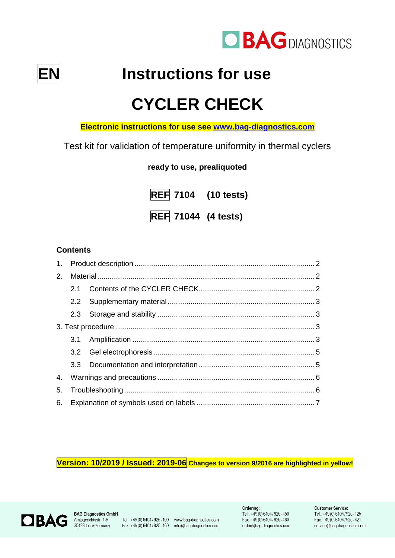



**EN Instructions for use**

# **CYCLER CHECK**

**Electronic instructions for use see [www.bag-diagnostics.com](http://www.bag-diagnostics.com/)**

Test kit for validation of temperature uniformity in thermal cyclers

**ready to use, prealiquoted**

**REF 7104 (10 tests) REF 71044 (4 tests)**

# **Contents**

| 2. |     |  |  |
|----|-----|--|--|
|    | 2.1 |  |  |
|    |     |  |  |
|    |     |  |  |
|    |     |  |  |
|    |     |  |  |
|    |     |  |  |
|    |     |  |  |
| 4. |     |  |  |
| 5. |     |  |  |
|    |     |  |  |

**Version: 10/2019 / Issued: 2019-06 Changes to version 9/2016 are highlighted in yellow!**



**BAG Diagnostics GmbH** 

Tel.: +49(0)6404/925-100 www.bag-diagnostics.com Fax: +49(0) 6404/925-460 info@bag-diagnostics.com Ordering: Tel.: +49(0)6404/925-450 Fax: +49(0)6404/925-460 order@bag-diagnostics.com

#### **Customer Service:**

Tel.: +49(0)6404/925-125 Fax: +49(0)6404/925-421 service@bag-diagnostics.com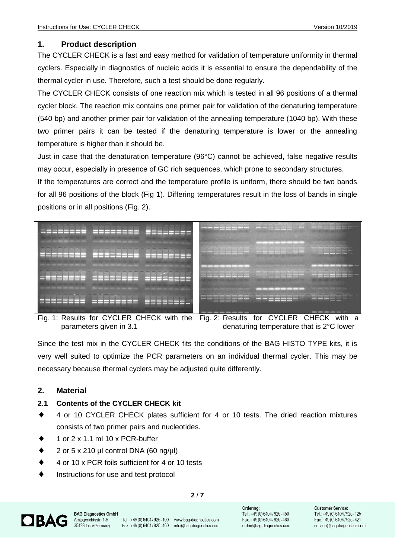## **1. Product description**

The CYCLER CHECK is a fast and easy method for validation of temperature uniformity in thermal cyclers. Especially in diagnostics of nucleic acids it is essential to ensure the dependability of the thermal cycler in use. Therefore, such a test should be done regularly.

The CYCLER CHECK consists of one reaction mix which is tested in all 96 positions of a thermal cycler block. The reaction mix contains one primer pair for validation of the denaturing temperature (540 bp) and another primer pair for validation of the annealing temperature (1040 bp). With these two primer pairs it can be tested if the denaturing temperature is lower or the annealing temperature is higher than it should be.

Just in case that the denaturation temperature (96°C) cannot be achieved, false negative results may occur, especially in presence of GC rich sequences, which prone to secondary structures.

If the temperatures are correct and the temperature profile is uniform, there should be two bands for all 96 positions of the block (Fig 1). Differing temperatures result in the loss of bands in single positions or in all positions (Fig. 2).



Since the test mix in the CYCLER CHECK fits the conditions of the BAG HISTO TYPE kits, it is very well suited to optimize the PCR parameters on an individual thermal cycler. This may be necessary because thermal cyclers may be adjusted quite differently.

## **2. Material**

## **2.1 Contents of the CYCLER CHECK kit**

- ◆ 4 or 10 CYCLER CHECK plates sufficient for 4 or 10 tests. The dried reaction mixtures consists of two primer pairs and nucleotides.
- 1 or 2 x 1.1 ml 10 x PCR-buffer
- $\bullet$  2 or 5 x 210 µl control DNA (60 ng/µl)
- 4 or 10 x PCR foils sufficient for 4 or 10 tests
- Instructions for use and test protocol

#### **2** / **7**



**BAG Diagnostics GmbH** Amtsgerichtsstr. 1-5 35423 Lich/Germany

Tel.: +49(0)6404/925-100 www.bag-diagnostics.com Fax: +49(0)6404/925-460 info@bag-diagnostics.com Ordering: Tel.: +49(0)6404/925-450 Fax: +49(0)6404/925-460 order@bag-diagnostics.com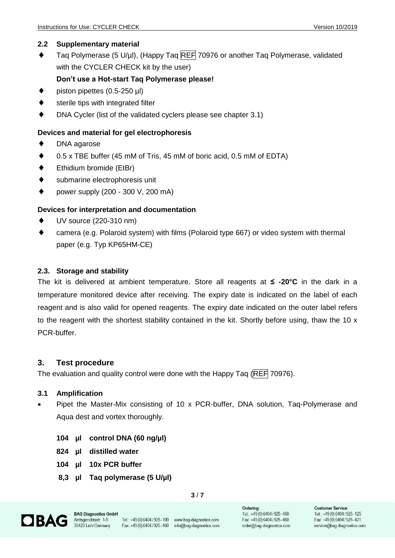#### **2.2 Supplementary material**

 $\blacklozenge$  Tag Polymerase (5 U/µl), (Happy Tag REF 70976 or another Tag Polymerase, validated with the CYCLER CHECK kit by the user)

#### **Don't use a Hot-start Taq Polymerase please!**

- piston pipettes (0.5-250 µl)
- sterile tips with integrated filter
- DNA Cycler (list of the validated cyclers please see chapter 3.1)

#### **Devices and material for gel electrophoresis**

- DNA agarose
- 0.5 x TBE buffer (45 mM of Tris, 45 mM of boric acid, 0.5 mM of EDTA)
- ◆ Ethidium bromide (EtBr)
- submarine electrophoresis unit
- power supply (200 300 V, 200 mA)

#### **Devices for interpretation and documentation**

- UV source (220-310 nm)
- camera (e.g. Polaroid system) with films (Polaroid type 667) or video system with thermal paper (e.g. Typ KP65HM-CE)

#### **2.3. Storage and stability**

The kit is delivered at ambient temperature. Store all reagents at **≤ -20°C** in the dark in a temperature monitored device after receiving. The expiry date is indicated on the label of each reagent and is also valid for opened reagents. The expiry date indicated on the outer label refers to the reagent with the shortest stability contained in the kit. Shortly before using, thaw the 10 x PCR-buffer.

#### **3. Test procedure**

The evaluation and quality control were done with the Happy Taq (REF 70976).

#### **3.1 Amplification**

- Pipet the Master-Mix consisting of 10 x PCR-buffer, DNA solution, Taq-Polymerase and Aqua dest and vortex thoroughly.
	- **104 µl control DNA (60 ng/µl)**
	- **824 µl distilled water**
	- **104 µl 10x PCR buffer**
	- **8,3 µl Taq polymerase (5 U/µl)**

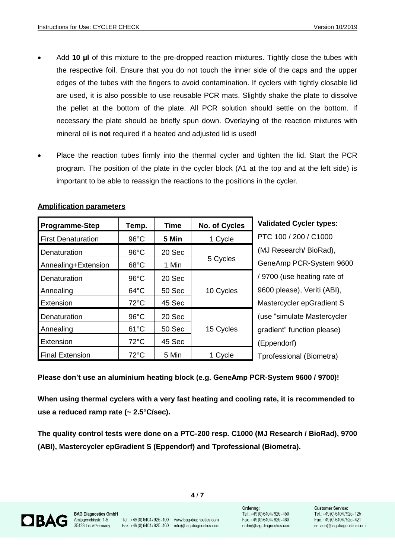- Add **10 µl** of this mixture to the pre-dropped reaction mixtures. Tightly close the tubes with the respective foil. Ensure that you do not touch the inner side of the caps and the upper edges of the tubes with the fingers to avoid contamination. If cyclers with tightly closable lid are used, it is also possible to use reusable PCR mats. Slightly shake the plate to dissolve the pellet at the bottom of the plate. All PCR solution should settle on the bottom. If necessary the plate should be briefly spun down. Overlaying of the reaction mixtures with mineral oil is **not** required if a heated and adjusted lid is used!
- Place the reaction tubes firmly into the thermal cycler and tighten the lid. Start the PCR program. The position of the plate in the cycler block (A1 at the top and at the left side) is important to be able to reassign the reactions to the positions in the cycler.

| <b>Programme-Step</b>     | Temp.          | <b>Time</b> | No. of Cycles | Valida           |
|---------------------------|----------------|-------------|---------------|------------------|
| <b>First Denaturation</b> | $96^{\circ}$ C | 5 Min       | 1 Cycle       | PTC <sub>1</sub> |
| Denaturation              | $96^{\circ}$ C | 20 Sec      | 5 Cycles      | $(MJ)$ R         |
| Annealing+Extension       | $68^{\circ}$ C | 1 Min       |               | Gene/            |
| Denaturation              | $96^{\circ}$ C | 20 Sec      |               | /9700            |
| Annealing                 | $64^{\circ}$ C | 50 Sec      | 10 Cycles     | 9600 p           |
| Extension                 | $72^{\circ}$ C | 45 Sec      |               | Maste            |
| Denaturation              | $96^{\circ}$ C | 20 Sec      |               | (use "s          |
| Annealing                 | $61^{\circ}$ C | 50 Sec      | 15 Cycles     | gradie           |
| Extension                 | 72°C           | 45 Sec      |               | (Eppe)           |
| <b>Final Extension</b>    | 72°C           | 5 Min       | 1 Cycle       | Tprofe           |

#### **Amplification parameters**

**Read Cycler types:** 00 / 200 / C1000 esearch/ BioRad), Amp PCR-System 9600 (use heating rate of please), Veriti (ABI), rcycler epGradient S simulate Mastercycler nt" function please) ndorf) ssional (Biometra)

**Please don't use an aluminium heating block (e.g. GeneAmp PCR-System 9600 / 9700)!**

**When using thermal cyclers with a very fast heating and cooling rate, it is recommended to use a reduced ramp rate (~ 2.5°C/sec).**

**The quality control tests were done on a PTC-200 resp. C1000 (MJ Research / BioRad), 9700 (ABI), Mastercycler epGradient S (Eppendorf) and Tprofessional (Biometra).**

**4** / **7**



**BAG Diagnostics GmbH** Amtsgerichtsstr. 1-5 35423 Lich/Germany

Tel.: +49(0)6404/925-100 www.bag-diagnostics.com Fax: +49(0)6404/925-460 info@bag-diagnostics.com

Ordering:

Tel.: +49(0)6404/925-450 Fax: +49(0)6404/925-460 order@bag-diagnostics.com

#### **Customer Service:** Tel.: +49(0)6404/925-125 Fax: +49(0)6404/925-421 service@bag-diagnostics.com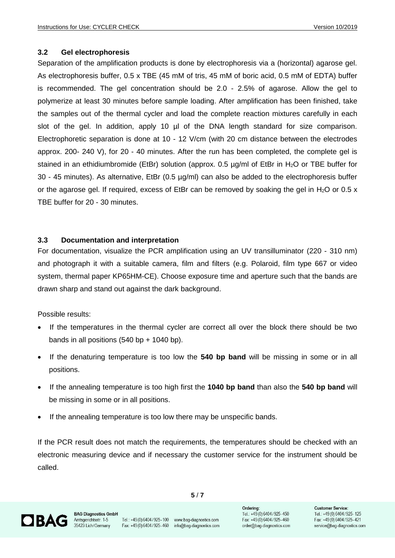#### **3.2 Gel electrophoresis**

Separation of the amplification products is done by electrophoresis via a (horizontal) agarose gel. As electrophoresis buffer, 0.5 x TBE (45 mM of tris, 45 mM of boric acid, 0.5 mM of EDTA) buffer is recommended. The gel concentration should be 2.0 - 2.5% of agarose. Allow the gel to polymerize at least 30 minutes before sample loading. After amplification has been finished, take the samples out of the thermal cycler and load the complete reaction mixtures carefully in each slot of the gel. In addition, apply 10 µl of the DNA length standard for size comparison. Electrophoretic separation is done at 10 - 12 V/cm (with 20 cm distance between the electrodes approx. 200- 240 V), for 20 - 40 minutes. After the run has been completed, the complete gel is stained in an ethidiumbromide (EtBr) solution (approx. 0.5 ug/ml of EtBr in H<sub>2</sub>O or TBE buffer for 30 - 45 minutes). As alternative, EtBr (0.5 µg/ml) can also be added to the electrophoresis buffer or the agarose gel. If required, excess of EtBr can be removed by soaking the gel in  $H_2O$  or 0.5 x TBE buffer for 20 - 30 minutes.

#### **3.3 Documentation and interpretation**

For documentation, visualize the PCR amplification using an UV transilluminator (220 - 310 nm) and photograph it with a suitable camera, film and filters (e.g. Polaroid, film type 667 or video system, thermal paper KP65HM-CE). Choose exposure time and aperture such that the bands are drawn sharp and stand out against the dark background.

Possible results:

- If the temperatures in the thermal cycler are correct all over the block there should be two bands in all positions  $(540 bp + 1040 bp)$ .
- If the denaturing temperature is too low the **540 bp band** will be missing in some or in all positions.
- If the annealing temperature is too high first the **1040 bp band** than also the **540 bp band** will be missing in some or in all positions.
- If the annealing temperature is too low there may be unspecific bands.

If the PCR result does not match the requirements, the temperatures should be checked with an electronic measuring device and if necessary the customer service for the instrument should be called.

**5** / **7**

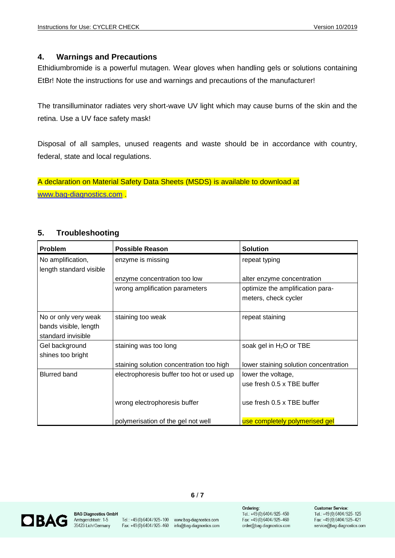#### **4. Warnings and Precautions**

Ethidiumbromide is a powerful mutagen. Wear gloves when handling gels or solutions containing EtBr! Note the instructions for use and warnings and precautions of the manufacturer!

The transilluminator radiates very short-wave UV light which may cause burns of the skin and the retina. Use a UV face safety mask!

Disposal of all samples, unused reagents and waste should be in accordance with country, federal, state and local regulations.

A declaration on Material Safety Data Sheets (MSDS) is available to download at [www.bag-diagnostics.com](http://www.bag-diagnostics.com/) .

## **5. Troubleshooting**

| <b>Problem</b>                                                      | <b>Possible Reason</b>                    | <b>Solution</b>                                          |
|---------------------------------------------------------------------|-------------------------------------------|----------------------------------------------------------|
| No amplification,<br>length standard visible                        | enzyme is missing                         | repeat typing                                            |
|                                                                     | enzyme concentration too low              | alter enzyme concentration                               |
|                                                                     | wrong amplification parameters            | optimize the amplification para-<br>meters, check cycler |
| No or only very weak<br>bands visible, length<br>standard invisible | staining too weak                         | repeat staining                                          |
| Gel background<br>shines too bright                                 | staining was too long                     | soak gel in H <sub>2</sub> O or TBE                      |
|                                                                     | staining solution concentration too high  | lower staining solution concentration                    |
| <b>Blurred band</b>                                                 | electrophoresis buffer too hot or used up | lower the voltage,<br>use fresh 0.5 x TBE buffer         |
|                                                                     | wrong electrophoresis buffer              | use fresh 0.5 x TBE buffer                               |
|                                                                     | polymerisation of the gel not well        | use completely polymerised gel                           |



**BAG Diagnostics GmbH** Amtsgerichtsstr. 1-5<br>35423 Lich/Germany

Fax: +49(0)6404/925-460 info@bag-diagnostics.com

Tel.: +49(0)6404/925-100 www.bag-diagnostics.com

**6** / **7**

Ordering: Tel.: +49(0)6404/925-450 Fax: +49(0)6404/925-460 order@bag-diagnostics.com

#### **Customer Service:** Tel.: +49(0)6404/925-125

Fax: +49(0)6404/925-421 service@bag-diagnostics.com